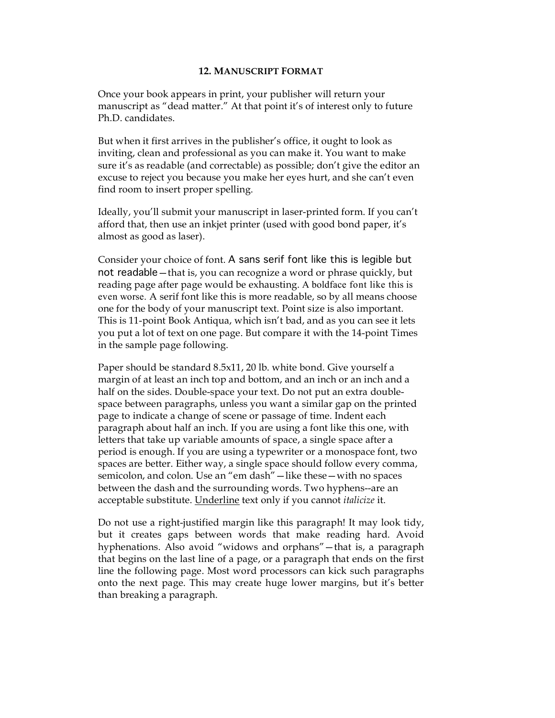## **12. MANUSCRIPT FORMAT**

Once your book appears in print, your publisher will return your manuscript as "dead matter." At that point it's of interest only to future Ph.D. candidates.

But when it first arrives in the publisher's office, it ought to look as inviting, clean and professional as you can make it. You want to make sure it's as readable (and correctable) as possible; don't give the editor an excuse to reject you because you make her eyes hurt, and she can't even find room to insert proper spelling.

Ideally, you'll submit your manuscript in laser-printed form. If you can't afford that, then use an inkjet printer (used with good bond paper, it's almost as good as laser).

Consider your choice of font. A sans serif font like this is legible but not readable—that is, you can recognize a word or phrase quickly, but reading page after page would be exhausting. A boldface font like this is even worse. A serif font like this is more readable, so by all means choose one for the body of your manuscript text. Point size is also important. This is 11-point Book Antiqua, which isn't bad, and as you can see it lets you put a lot of text on one page. But compare it with the 14-point Times in the sample page following.

Paper should be standard 8.5x11, 20 lb. white bond. Give yourself a margin of at least an inch top and bottom, and an inch or an inch and a half on the sides. Double-space your text. Do not put an extra doublespace between paragraphs, unless you want a similar gap on the printed page to indicate a change of scene or passage of time. Indent each paragraph about half an inch. If you are using a font like this one, with letters that take up variable amounts of space, a single space after a period is enough. If you are using a typewriter or a monospace font, two spaces are better. Either way, a single space should follow every comma, semicolon, and colon. Use an "em dash"—like these—with no spaces between the dash and the surrounding words. Two hyphens--are an acceptable substitute. Underline text only if you cannot *italicize* it.

Do not use a right-justified margin like this paragraph! It may look tidy, but it creates gaps between words that make reading hard. Avoid hyphenations. Also avoid "widows and orphans"—that is, a paragraph that begins on the last line of a page, or a paragraph that ends on the first line the following page. Most word processors can kick such paragraphs onto the next page. This may create huge lower margins, but it's better than breaking a paragraph.